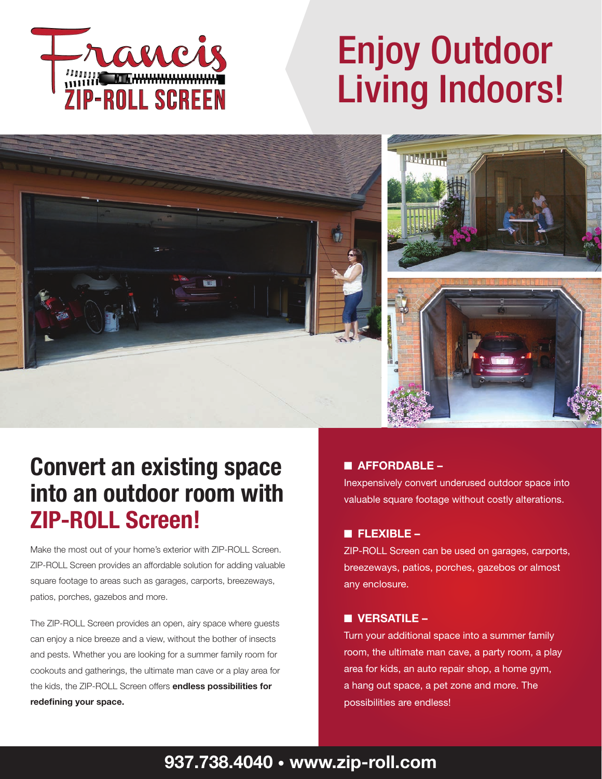

# Enjoy Outdoor Living Indoors!



## Convert an existing space into an outdoor room with ZIP-ROLL Screen!

Make the most out of your home's exterior with ZIP-ROLL Screen. ZIP-ROLL Screen provides an affordable solution for adding valuable square footage to areas such as garages, carports, breezeways, patios, porches, gazebos and more.

The ZIP-ROLL Screen provides an open, airy space where guests can enjoy a nice breeze and a view, without the bother of insects and pests. Whether you are looking for a summer family room for cookouts and gatherings, the ultimate man cave or a play area for the kids, the ZIP-ROLL Screen offers endless possibilities for redefining your space.

#### $A$ FFORDABLE –

Inexpensively convert underused outdoor space into valuable square footage without costly alterations.

#### n FLEXIBLE –

ZIP-ROLL Screen can be used on garages, carports, breezeways, patios, porches, gazebos or almost any enclosure.

#### $\blacksquare$  VERSATILE –

Turn your additional space into a summer family room, the ultimate man cave, a party room, a play area for kids, an auto repair shop, a home gym, a hang out space, a pet zone and more. The possibilities are endless!

### 937.738.4040 • www.zip-roll.com